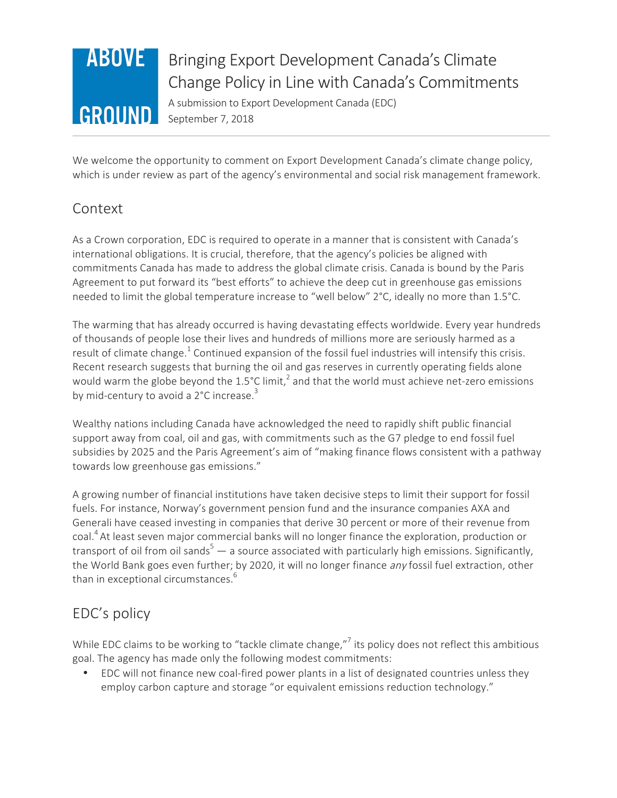

# Bringing Export Development Canada's Climate Change Policy in Line with Canada's Commitments

A submission to Export Development Canada (EDC) September 7, 2018

We welcome the opportunity to comment on Export Development Canada's climate change policy, which is under review as part of the agency's environmental and social risk management framework.

## Context

As a Crown corporation, EDC is required to operate in a manner that is consistent with Canada's international obligations. It is crucial, therefore, that the agency's policies be aligned with commitments Canada has made to address the global climate crisis. Canada is bound by the Paris Agreement to put forward its "best efforts" to achieve the deep cut in greenhouse gas emissions needed to limit the global temperature increase to "well below" 2°C, ideally no more than 1.5°C.

The warming that has already occurred is having devastating effects worldwide. Every year hundreds of thousands of people lose their lives and hundreds of millions more are seriously harmed as a result of climate change.<sup>1</sup> Continued expansion of the fossil fuel industries will intensify this crisis. Recent research suggests that burning the oil and gas reserves in currently operating fields alone would warm the globe beyond the 1.5°C limit,<sup>2</sup> and that the world must achieve net-zero emissions by mid-century to avoid a 2°C increase.<sup>3</sup>

Wealthy nations including Canada have acknowledged the need to rapidly shift public financial support away from coal, oil and gas, with commitments such as the G7 pledge to end fossil fuel subsidies by 2025 and the Paris Agreement's aim of "making finance flows consistent with a pathway towards low greenhouse gas emissions."

A growing number of financial institutions have taken decisive steps to limit their support for fossil fuels. For instance, Norway's government pension fund and the insurance companies AXA and Generali have ceased investing in companies that derive 30 percent or more of their revenue from coal.<sup>4</sup> At least seven major commercial banks will no longer finance the exploration, production or transport of oil from oil sands<sup>5</sup> — a source associated with particularly high emissions. Significantly, the World Bank goes even further; by 2020, it will no longer finance any fossil fuel extraction, other than in exceptional circumstances.<sup>6</sup>

## EDC's policy

While EDC claims to be working to "tackle climate change,"<sup>7</sup> its policy does not reflect this ambitious goal. The agency has made only the following modest commitments:

• EDC will not finance new coal-fired power plants in a list of designated countries unless they employ carbon capture and storage "or equivalent emissions reduction technology."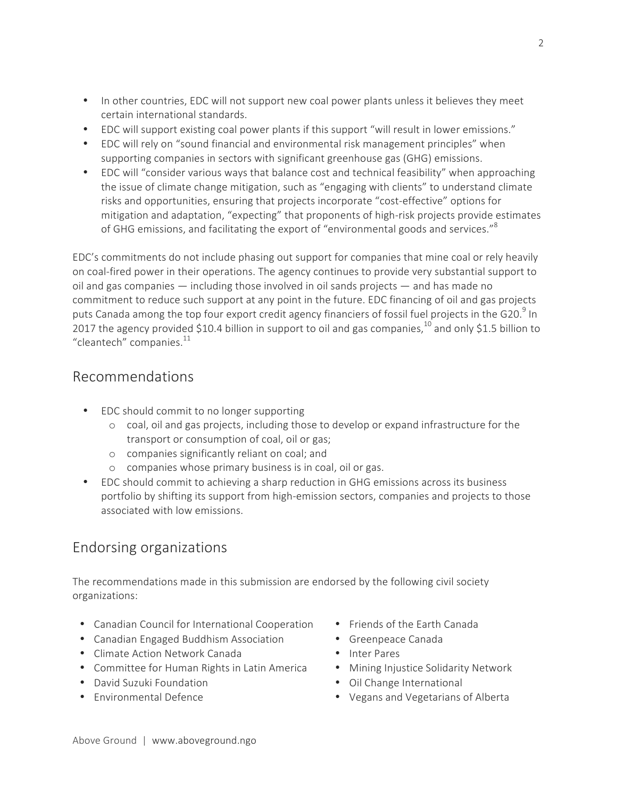- In other countries, EDC will not support new coal power plants unless it believes they meet certain international standards.
- EDC will support existing coal power plants if this support "will result in lower emissions."
- EDC will rely on "sound financial and environmental risk management principles" when supporting companies in sectors with significant greenhouse gas (GHG) emissions.
- EDC will "consider various ways that balance cost and technical feasibility" when approaching the issue of climate change mitigation, such as "engaging with clients" to understand climate risks and opportunities, ensuring that projects incorporate "cost-effective" options for mitigation and adaptation, "expecting" that proponents of high-risk projects provide estimates of GHG emissions, and facilitating the export of "environmental goods and services."<sup>8</sup>

EDC's commitments do not include phasing out support for companies that mine coal or rely heavily on coal-fired power in their operations. The agency continues to provide very substantial support to oil and gas companies — including those involved in oil sands projects — and has made no commitment to reduce such support at any point in the future. EDC financing of oil and gas projects puts Canada among the top four export credit agency financiers of fossil fuel projects in the G20.<sup>9</sup> In 2017 the agency provided \$10.4 billion in support to oil and gas companies,<sup>10</sup> and only \$1.5 billion to "cleantech" companies. $11$ 

### Recommendations

- EDC should commit to no longer supporting
	- o coal, oil and gas projects, including those to develop or expand infrastructure for the transport or consumption of coal, oil or gas;
	- o companies significantly reliant on coal; and
	- o companies whose primary business is in coal, oil or gas.
- EDC should commit to achieving a sharp reduction in GHG emissions across its business portfolio by shifting its support from high-emission sectors, companies and projects to those associated with low emissions.

## Endorsing organizations

The recommendations made in this submission are endorsed by the following civil society organizations:

- Canadian Council for International Cooperation
- Canadian Engaged Buddhism Association
- Climate Action Network Canada
- Committee for Human Rights in Latin America
- David Suzuki Foundation
- Environmental Defence
- Friends of the Earth Canada
- Greenpeace Canada
- Inter Pares
- Mining Injustice Solidarity Network
- Oil Change International
- Vegans and Vegetarians of Alberta